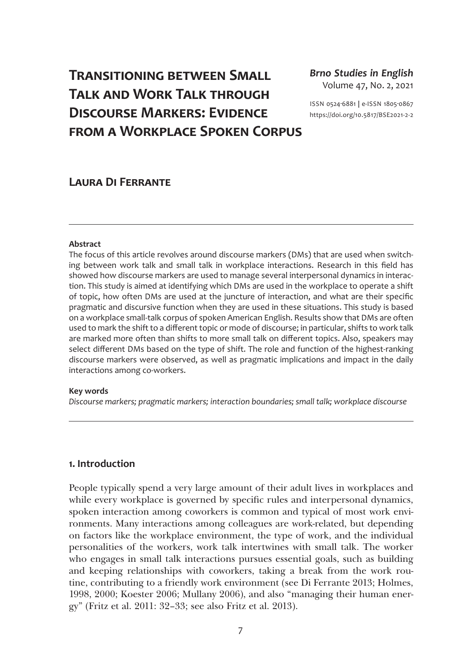# **Transitioning between Small Talk and Work Talk through Discourse Markers: Evidence from a Workplace Spoken Corpus**

*Brno Studies in English* Volume 47, No. 2, 2021

ISSN 0524-6881 **|** e-ISSN 1805-0867 [https://doi.org/10.5817/BSE2021-2-](https://doi.org/10.5817/BSE2021-2-2)2

# **Laura Di Ferrante**

#### **Abstract**

The focus of this article revolves around discourse markers (DMs) that are used when switching between work talk and small talk in workplace interactions. Research in this field has showed how discourse markers are used to manage several interpersonal dynamics in interaction. This study is aimed at identifying which DMs are used in the workplace to operate a shift of topic, how often DMs are used at the juncture of interaction, and what are their specific pragmatic and discursive function when they are used in these situations. This study is based on a workplace small-talk corpus of spoken American English. Results show that DMs are often used to mark the shift to a different topic or mode of discourse; in particular, shifts to work talk are marked more often than shifts to more small talk on different topics. Also, speakers may select different DMs based on the type of shift. The role and function of the highest-ranking discourse markers were observed, as well as pragmatic implications and impact in the daily interactions among co-workers.

#### **Key words**

*Discourse markers; pragmatic markers; interaction boundaries; small talk; workplace discourse*

#### **1. Introduction**

People typically spend a very large amount of their adult lives in workplaces and while every workplace is governed by specific rules and interpersonal dynamics, spoken interaction among coworkers is common and typical of most work environments. Many interactions among colleagues are work-related, but depending on factors like the workplace environment, the type of work, and the individual personalities of the workers, work talk intertwines with small talk. The worker who engages in small talk interactions pursues essential goals, such as building and keeping relationships with coworkers, taking a break from the work routine, contributing to a friendly work environment (see Di Ferrante 2013; Holmes, 1998, 2000; Koester 2006; Mullany 2006), and also "managing their human energy" (Fritz et al. 2011: 32–33; see also Fritz et al. 2013).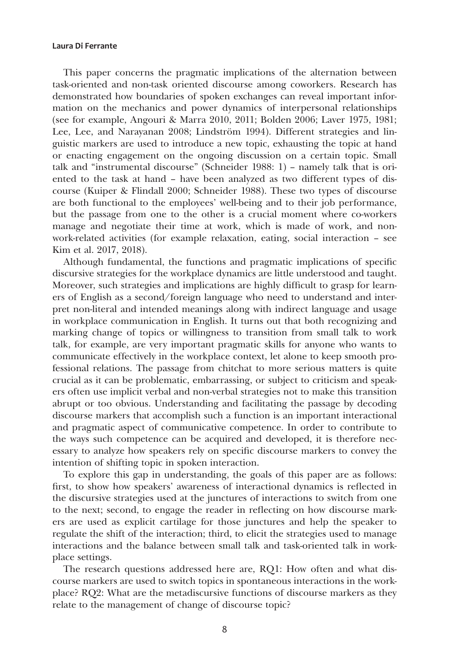This paper concerns the pragmatic implications of the alternation between task-oriented and non-task oriented discourse among coworkers. Research has demonstrated how boundaries of spoken exchanges can reveal important information on the mechanics and power dynamics of interpersonal relationships (see for example, Angouri & Marra 2010, 2011; Bolden 2006; Laver 1975, 1981; Lee, Lee, and Narayanan 2008; Lindström 1994). Different strategies and linguistic markers are used to introduce a new topic, exhausting the topic at hand or enacting engagement on the ongoing discussion on a certain topic. Small talk and "instrumental discourse" (Schneider 1988: 1) – namely talk that is oriented to the task at hand – have been analyzed as two different types of discourse (Kuiper & Flindall 2000; Schneider 1988). These two types of discourse are both functional to the employees' well-being and to their job performance, but the passage from one to the other is a crucial moment where co-workers manage and negotiate their time at work, which is made of work, and nonwork-related activities (for example relaxation, eating, social interaction – see Kim et al. 2017, 2018).

Although fundamental, the functions and pragmatic implications of specific discursive strategies for the workplace dynamics are little understood and taught. Moreover, such strategies and implications are highly difficult to grasp for learners of English as a second/foreign language who need to understand and interpret non-literal and intended meanings along with indirect language and usage in workplace communication in English. It turns out that both recognizing and marking change of topics or willingness to transition from small talk to work talk, for example, are very important pragmatic skills for anyone who wants to communicate effectively in the workplace context, let alone to keep smooth professional relations. The passage from chitchat to more serious matters is quite crucial as it can be problematic, embarrassing, or subject to criticism and speakers often use implicit verbal and non-verbal strategies not to make this transition abrupt or too obvious. Understanding and facilitating the passage by decoding discourse markers that accomplish such a function is an important interactional and pragmatic aspect of communicative competence. In order to contribute to the ways such competence can be acquired and developed, it is therefore necessary to analyze how speakers rely on specific discourse markers to convey the intention of shifting topic in spoken interaction.

To explore this gap in understanding, the goals of this paper are as follows: first, to show how speakers' awareness of interactional dynamics is reflected in the discursive strategies used at the junctures of interactions to switch from one to the next; second, to engage the reader in reflecting on how discourse markers are used as explicit cartilage for those junctures and help the speaker to regulate the shift of the interaction; third, to elicit the strategies used to manage interactions and the balance between small talk and task-oriented talk in workplace settings.

The research questions addressed here are, RQ1: How often and what discourse markers are used to switch topics in spontaneous interactions in the workplace? RQ2: What are the metadiscursive functions of discourse markers as they relate to the management of change of discourse topic?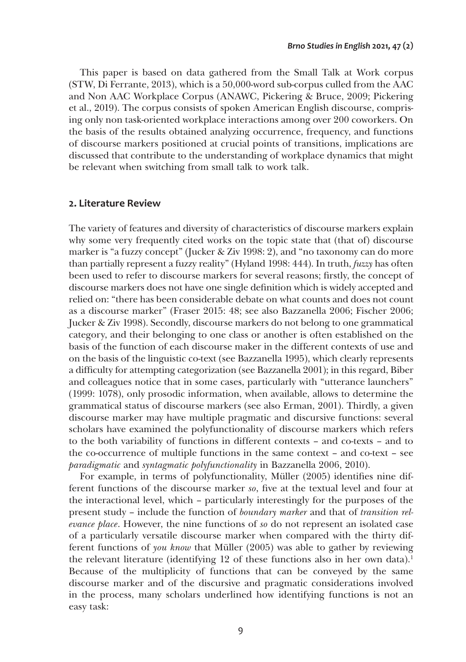This paper is based on data gathered from the Small Talk at Work corpus (STW, Di Ferrante, 2013), which is a 50,000-word sub-corpus culled from the AAC and Non AAC Workplace Corpus (ANAWC, Pickering & Bruce, 2009; Pickering et al., 2019). The corpus consists of spoken American English discourse, comprising only non task-oriented workplace interactions among over 200 coworkers. On the basis of the results obtained analyzing occurrence, frequency, and functions of discourse markers positioned at crucial points of transitions, implications are discussed that contribute to the understanding of workplace dynamics that might be relevant when switching from small talk to work talk.

### **2. Literature Review**

The variety of features and diversity of characteristics of discourse markers explain why some very frequently cited works on the topic state that (that of) discourse marker is "a fuzzy concept" (Jucker & Ziv 1998: 2), and "no taxonomy can do more than partially represent a fuzzy reality" (Hyland 1998: 444). In truth, *fuzzy* has often been used to refer to discourse markers for several reasons; firstly, the concept of discourse markers does not have one single definition which is widely accepted and relied on: "there has been considerable debate on what counts and does not count as a discourse marker" (Fraser 2015: 48; see also Bazzanella 2006; Fischer 2006; Jucker & Ziv 1998). Secondly, discourse markers do not belong to one grammatical category, and their belonging to one class or another is often established on the basis of the function of each discourse maker in the different contexts of use and on the basis of the linguistic co-text (see Bazzanella 1995), which clearly represents a difficulty for attempting categorization (see Bazzanella 2001); in this regard, Biber and colleagues notice that in some cases, particularly with "utterance launchers" (1999: 1078), only prosodic information, when available, allows to determine the grammatical status of discourse markers (see also Erman, 2001). Thirdly, a given discourse marker may have multiple pragmatic and discursive functions: several scholars have examined the polyfunctionality of discourse markers which refers to the both variability of functions in different contexts – and co-texts – and to the co-occurrence of multiple functions in the same context – and co-text – see *paradigmatic* and *syntagmatic polyfunctionality* in Bazzanella 2006, 2010).

For example, in terms of polyfunctionality, Müller (2005) identifies nine different functions of the discourse marker *so*, five at the textual level and four at the interactional level, which – particularly interestingly for the purposes of the present study – include the function of *boundary marker* and that of *transition relevance place*. However, the nine functions of *so* do not represent an isolated case of a particularly versatile discourse marker when compared with the thirty different functions of *you know* that Müller (2005) was able to gather by reviewing the relevant literature (identifying 12 of these functions also in her own data).<sup>1</sup> Because of the multiplicity of functions that can be conveyed by the same discourse marker and of the discursive and pragmatic considerations involved in the process, many scholars underlined how identifying functions is not an easy task: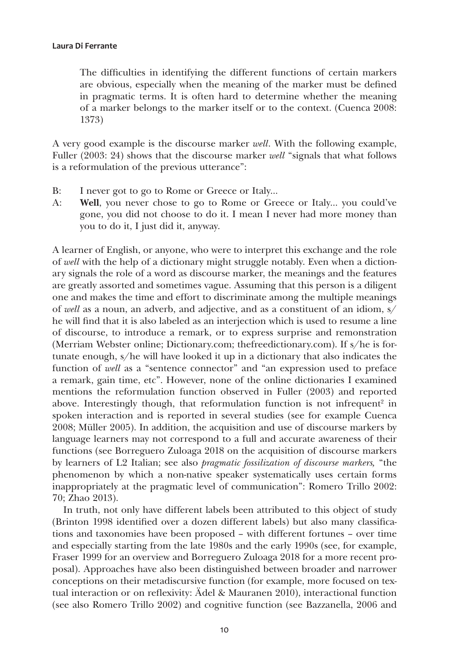The difficulties in identifying the different functions of certain markers are obvious, especially when the meaning of the marker must be defined in pragmatic terms. It is often hard to determine whether the meaning of a marker belongs to the marker itself or to the context. (Cuenca 2008: 1373)

A very good example is the discourse marker *well*. With the following example, Fuller (2003: 24) shows that the discourse marker *well* "signals that what follows is a reformulation of the previous utterance":

- B: I never got to go to Rome or Greece or Italy...
- A: Well, you never chose to go to Rome or Greece or Italy... you could've gone, you did not choose to do it. I mean I never had more money than you to do it, I just did it, anyway.

A learner of English, or anyone, who were to interpret this exchange and the role of *well* with the help of a dictionary might struggle notably. Even when a dictionary signals the role of a word as discourse marker, the meanings and the features are greatly assorted and sometimes vague. Assuming that this person is a diligent one and makes the time and effort to discriminate among the multiple meanings of *well* as a noun, an adverb, and adjective, and as a constituent of an idiom, s/ he will find that it is also labeled as an interjection which is used to resume a line of discourse, to introduce a remark, or to express surprise and remonstration (Merriam Webster online; [Dictionary.com;](http://Dictionary.com) [thefreedictionary.com](http://thefreedictionary.com)). If s/he is fortunate enough, s/he will have looked it up in a dictionary that also indicates the function of *well* as a "sentence connector" and "an expression used to preface a remark, gain time, etc". However, none of the online dictionaries I examined mentions the reformulation function observed in Fuller (2003) and reported above. Interestingly though, that reformulation function is not infrequent<sup>2</sup> in spoken interaction and is reported in several studies (see for example Cuenca 2008; Müller 2005). In addition, the acquisition and use of discourse markers by language learners may not correspond to a full and accurate awareness of their functions (see Borreguero Zuloaga 2018 on the acquisition of discourse markers by learners of L2 Italian; see also *pragmatic fossilization of discourse markers,* "the phenomenon by which a non-native speaker systematically uses certain forms inappropriately at the pragmatic level of communication": Romero Trillo 2002: 70; Zhao 2013).

In truth, not only have different labels been attributed to this object of study (Brinton 1998 identified over a dozen different labels) but also many classifications and taxonomies have been proposed – with different fortunes – over time and especially starting from the late 1980s and the early 1990s (see, for example, Fraser 1999 for an overview and Borreguero Zuloaga 2018 for a more recent proposal). Approaches have also been distinguished between broader and narrower conceptions on their metadiscursive function (for example, more focused on textual interaction or on reflexivity: Ädel & Mauranen 2010), interactional function (see also Romero Trillo 2002) and cognitive function (see Bazzanella, 2006 and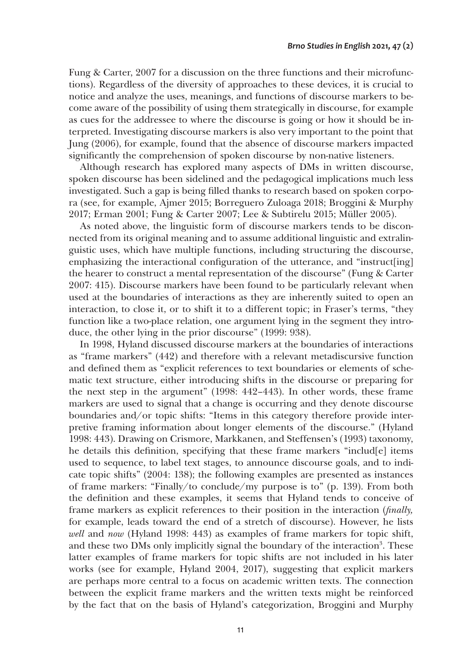Fung & Carter, 2007 for a discussion on the three functions and their microfunctions). Regardless of the diversity of approaches to these devices, it is crucial to notice and analyze the uses, meanings, and functions of discourse markers to become aware of the possibility of using them strategically in discourse, for example as cues for the addressee to where the discourse is going or how it should be interpreted. Investigating discourse markers is also very important to the point that Jung (2006), for example, found that the absence of discourse markers impacted significantly the comprehension of spoken discourse by non-native listeners.

Although research has explored many aspects of DMs in written discourse, spoken discourse has been sidelined and the pedagogical implications much less investigated. Such a gap is being filled thanks to research based on spoken corpora (see, for example, Ajmer 2015; Borreguero Zuloaga 2018; Broggini & Murphy 2017; Erman 2001; Fung & Carter 2007; Lee & Subtirelu 2015; Müller 2005).

As noted above, the linguistic form of discourse markers tends to be disconnected from its original meaning and to assume additional linguistic and extralinguistic uses, which have multiple functions, including structuring the discourse, emphasizing the interactional configuration of the utterance, and "instruct[ing] the hearer to construct a mental representation of the discourse" (Fung & Carter 2007: 415). Discourse markers have been found to be particularly relevant when used at the boundaries of interactions as they are inherently suited to open an interaction, to close it, or to shift it to a different topic; in Fraser's terms, "they function like a two-place relation, one argument lying in the segment they introduce, the other lying in the prior discourse" (1999: 938).

In 1998, Hyland discussed discourse markers at the boundaries of interactions as "frame markers" (442) and therefore with a relevant metadiscursive function and defined them as "explicit references to text boundaries or elements of schematic text structure, either introducing shifts in the discourse or preparing for the next step in the argument" (1998: 442–443). In other words, these frame markers are used to signal that a change is occurring and they denote discourse boundaries and/or topic shifts: "Items in this category therefore provide interpretive framing information about longer elements of the discourse." (Hyland 1998: 443). Drawing on Crismore, Markkanen, and Steffensen's (1993) taxonomy, he details this definition, specifying that these frame markers "includ[e] items used to sequence, to label text stages, to announce discourse goals, and to indicate topic shifts" (2004: 138); the following examples are presented as instances of frame markers: "Finally/to conclude/my purpose is to" (p. 139). From both the definition and these examples, it seems that Hyland tends to conceive of frame markers as explicit references to their position in the interaction (*finally,*  for example, leads toward the end of a stretch of discourse). However, he lists *well* and *now* (Hyland 1998: 443) as examples of frame markers for topic shift, and these two DMs only implicitly signal the boundary of the interaction<sup>3</sup>. These latter examples of frame markers for topic shifts are not included in his later works (see for example, Hyland 2004, 2017), suggesting that explicit markers are perhaps more central to a focus on academic written texts. The connection between the explicit frame markers and the written texts might be reinforced by the fact that on the basis of Hyland's categorization, Broggini and Murphy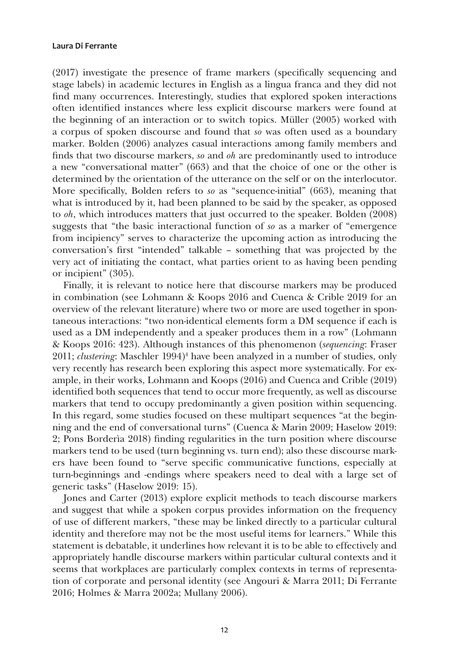(2017) investigate the presence of frame markers (specifically sequencing and stage labels) in academic lectures in English as a lingua franca and they did not find many occurrences. Interestingly, studies that explored spoken interactions often identified instances where less explicit discourse markers were found at the beginning of an interaction or to switch topics. Müller (2005) worked with a corpus of spoken discourse and found that *so* was often used as a boundary marker. Bolden (2006) analyzes casual interactions among family members and finds that two discourse markers, *so* and *oh* are predominantly used to introduce a new "conversational matter" (663) and that the choice of one or the other is determined by the orientation of the utterance on the self or on the interlocutor. More specifically, Bolden refers to *so* as "sequence-initial" (663), meaning that what is introduced by it, had been planned to be said by the speaker, as opposed to *oh*, which introduces matters that just occurred to the speaker. Bolden (2008) suggests that "the basic interactional function of *so* as a marker of "emergence from incipiency" serves to characterize the upcoming action as introducing the conversation's first "intended" talkable – something that was projected by the very act of initiating the contact, what parties orient to as having been pending or incipient" (305).

Finally, it is relevant to notice here that discourse markers may be produced in combination (see Lohmann & Koops 2016 and Cuenca & Crible 2019 for an overview of the relevant literature) where two or more are used together in spontaneous interactions: "two non-identical elements form a DM sequence if each is used as a DM independently and a speaker produces them in a row" (Lohmann & Koops 2016: 423). Although instances of this phenomenon (*sequencing*: Fraser 2011; *clustering*: Maschler 1994)<sup>4</sup> have been analyzed in a number of studies, only very recently has research been exploring this aspect more systematically. For example, in their works, Lohmann and Koops (2016) and Cuenca and Crible (2019) identified both sequences that tend to occur more frequently, as well as discourse markers that tend to occupy predominantly a given position within sequencing. In this regard, some studies focused on these multipart sequences "at the beginning and the end of conversational turns" (Cuenca & Marin 2009; Haselow 2019: 2; Pons Borderìa 2018) finding regularities in the turn position where discourse markers tend to be used (turn beginning vs. turn end); also these discourse markers have been found to "serve specific communicative functions, especially at turn-beginnings and -endings where speakers need to deal with a large set of generic tasks" (Haselow 2019: 15).

Jones and Carter (2013) explore explicit methods to teach discourse markers and suggest that while a spoken corpus provides information on the frequency of use of different markers, "these may be linked directly to a particular cultural identity and therefore may not be the most useful items for learners." While this statement is debatable, it underlines how relevant it is to be able to effectively and appropriately handle discourse markers within particular cultural contexts and it seems that workplaces are particularly complex contexts in terms of representation of corporate and personal identity (see Angouri & Marra 2011; Di Ferrante 2016; Holmes & Marra 2002a; Mullany 2006).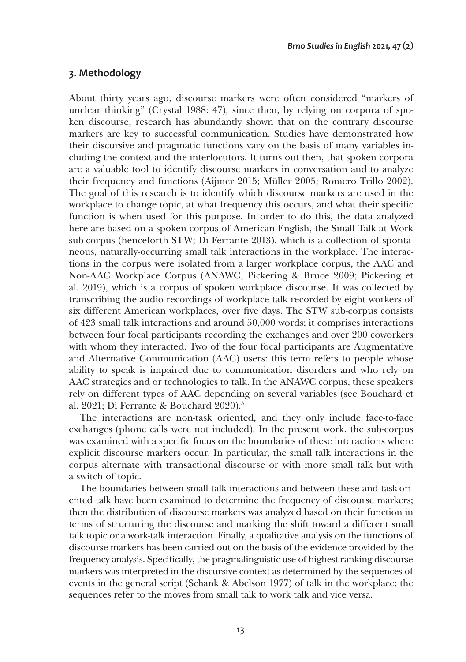# **3. Methodology**

About thirty years ago, discourse markers were often considered "markers of unclear thinking" (Crystal 1988: 47); since then, by relying on corpora of spoken discourse, research has abundantly shown that on the contrary discourse markers are key to successful communication. Studies have demonstrated how their discursive and pragmatic functions vary on the basis of many variables including the context and the interlocutors. It turns out then, that spoken corpora are a valuable tool to identify discourse markers in conversation and to analyze their frequency and functions (Aijmer 2015; Müller 2005; Romero Trillo 2002). The goal of this research is to identify which discourse markers are used in the workplace to change topic, at what frequency this occurs, and what their specific function is when used for this purpose. In order to do this, the data analyzed here are based on a spoken corpus of American English, the Small Talk at Work sub-corpus (henceforth STW; Di Ferrante 2013), which is a collection of spontaneous, naturally-occurring small talk interactions in the workplace. The interactions in the corpus were isolated from a larger workplace corpus, the AAC and Non-AAC Workplace Corpus (ANAWC, Pickering & Bruce 2009; Pickering et al. 2019), which is a corpus of spoken workplace discourse. It was collected by transcribing the audio recordings of workplace talk recorded by eight workers of six different American workplaces, over five days. The STW sub-corpus consists of 423 small talk interactions and around 50,000 words; it comprises interactions between four focal participants recording the exchanges and over 200 coworkers with whom they interacted. Two of the four focal participants are Augmentative and Alternative Communication (AAC) users: this term refers to people whose ability to speak is impaired due to communication disorders and who rely on AAC strategies and or technologies to talk. In the ANAWC corpus, these speakers rely on different types of AAC depending on several variables (see Bouchard et al. 2021; Di Ferrante & Bouchard 2020).5

The interactions are non-task oriented, and they only include face-to-face exchanges (phone calls were not included). In the present work, the sub-corpus was examined with a specific focus on the boundaries of these interactions where explicit discourse markers occur. In particular, the small talk interactions in the corpus alternate with transactional discourse or with more small talk but with a switch of topic.

The boundaries between small talk interactions and between these and task-oriented talk have been examined to determine the frequency of discourse markers; then the distribution of discourse markers was analyzed based on their function in terms of structuring the discourse and marking the shift toward a different small talk topic or a work-talk interaction. Finally, a qualitative analysis on the functions of discourse markers has been carried out on the basis of the evidence provided by the frequency analysis. Specifically, the pragmalinguistic use of highest ranking discourse markers was interpreted in the discursive context as determined by the sequences of events in the general script (Schank & Abelson 1977) of talk in the workplace; the sequences refer to the moves from small talk to work talk and vice versa.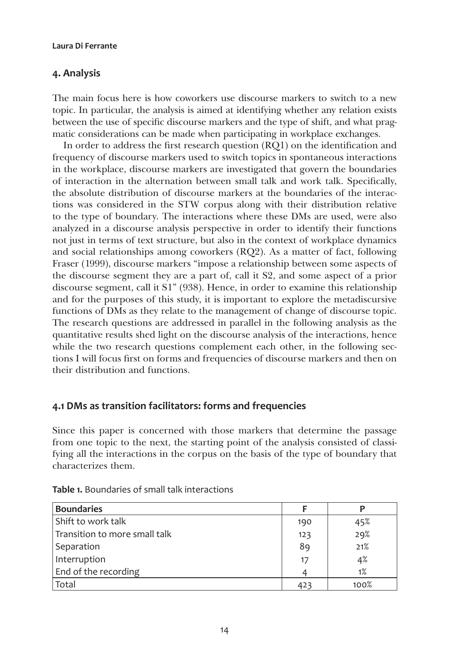# **4. Analysis**

The main focus here is how coworkers use discourse markers to switch to a new topic. In particular, the analysis is aimed at identifying whether any relation exists between the use of specific discourse markers and the type of shift, and what pragmatic considerations can be made when participating in workplace exchanges.

In order to address the first research question (RQ1) on the identification and frequency of discourse markers used to switch topics in spontaneous interactions in the workplace, discourse markers are investigated that govern the boundaries of interaction in the alternation between small talk and work talk. Specifically, the absolute distribution of discourse markers at the boundaries of the interactions was considered in the STW corpus along with their distribution relative to the type of boundary. The interactions where these DMs are used, were also analyzed in a discourse analysis perspective in order to identify their functions not just in terms of text structure, but also in the context of workplace dynamics and social relationships among coworkers (RQ2). As a matter of fact, following Fraser (1999), discourse markers "impose a relationship between some aspects of the discourse segment they are a part of, call it S2, and some aspect of a prior discourse segment, call it S1" (938). Hence, in order to examine this relationship and for the purposes of this study, it is important to explore the metadiscursive functions of DMs as they relate to the management of change of discourse topic. The research questions are addressed in parallel in the following analysis as the quantitative results shed light on the discourse analysis of the interactions, hence while the two research questions complement each other, in the following sections I will focus first on forms and frequencies of discourse markers and then on their distribution and functions.

## **4.1 DMs as transition facilitators: forms and frequencies**

Since this paper is concerned with those markers that determine the passage from one topic to the next, the starting point of the analysis consisted of classifying all the interactions in the corpus on the basis of the type of boundary that characterizes them.

| <b>Boundaries</b>             |     |      |
|-------------------------------|-----|------|
| Shift to work talk            | 190 | 45%  |
| Transition to more small talk | 123 | 29%  |
| Separation                    | 89  | 21%  |
| Interruption                  | 17  | 4%   |
| End of the recording          |     | 1%   |
| Total                         | 423 | 100% |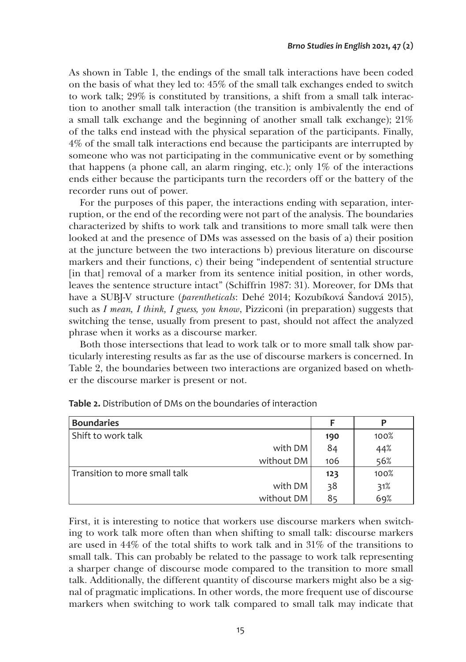As shown in Table 1, the endings of the small talk interactions have been coded on the basis of what they led to: 45% of the small talk exchanges ended to switch to work talk; 29% is constituted by transitions, a shift from a small talk interaction to another small talk interaction (the transition is ambivalently the end of a small talk exchange and the beginning of another small talk exchange); 21% of the talks end instead with the physical separation of the participants. Finally, 4% of the small talk interactions end because the participants are interrupted by someone who was not participating in the communicative event or by something that happens (a phone call, an alarm ringing, etc.); only 1% of the interactions ends either because the participants turn the recorders off or the battery of the recorder runs out of power.

For the purposes of this paper, the interactions ending with separation, interruption, or the end of the recording were not part of the analysis. The boundaries characterized by shifts to work talk and transitions to more small talk were then looked at and the presence of DMs was assessed on the basis of a) their position at the juncture between the two interactions b) previous literature on discourse markers and their functions, c) their being "independent of sentential structure [in that] removal of a marker from its sentence initial position, in other words, leaves the sentence structure intact" (Schiffrin 1987: 31). Moreover, for DMs that have a SUBJ-V structure (*parentheticals*: Dehé 2014; Kozubíková Šandová 2015), such as *I mean, I think, I guess, you know*, Pizziconi (in preparation) suggests that switching the tense, usually from present to past, should not affect the analyzed phrase when it works as a discourse marker.

Both those intersections that lead to work talk or to more small talk show particularly interesting results as far as the use of discourse markers is concerned. In Table 2, the boundaries between two interactions are organized based on whether the discourse marker is present or not.

| <b>Boundaries</b>             |     |      |
|-------------------------------|-----|------|
| Shift to work talk            | 190 | 100% |
| with DM                       | 84  | 44%  |
| without DM                    | 106 | 56%  |
| Transition to more small talk | 123 | 100% |
| with DM                       | 38  | 31%  |
| without DM                    | 85  | 69%  |

**Table 2.** Distribution of DMs on the boundaries of interaction

First, it is interesting to notice that workers use discourse markers when switching to work talk more often than when shifting to small talk: discourse markers are used in 44% of the total shifts to work talk and in 31% of the transitions to small talk. This can probably be related to the passage to work talk representing a sharper change of discourse mode compared to the transition to more small talk. Additionally, the different quantity of discourse markers might also be a signal of pragmatic implications. In other words, the more frequent use of discourse markers when switching to work talk compared to small talk may indicate that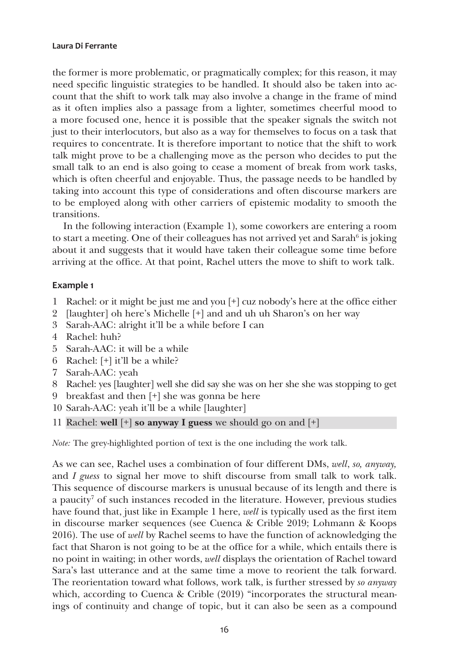the former is more problematic, or pragmatically complex; for this reason, it may need specific linguistic strategies to be handled. It should also be taken into account that the shift to work talk may also involve a change in the frame of mind as it often implies also a passage from a lighter, sometimes cheerful mood to a more focused one, hence it is possible that the speaker signals the switch not just to their interlocutors, but also as a way for themselves to focus on a task that requires to concentrate. It is therefore important to notice that the shift to work talk might prove to be a challenging move as the person who decides to put the small talk to an end is also going to cease a moment of break from work tasks, which is often cheerful and enjoyable. Thus, the passage needs to be handled by taking into account this type of considerations and often discourse markers are to be employed along with other carriers of epistemic modality to smooth the transitions.

In the following interaction (Example 1), some coworkers are entering a room to start a meeting. One of their colleagues has not arrived yet and Sarah $^6$  is joking about it and suggests that it would have taken their colleague some time before arriving at the office. At that point, Rachel utters the move to shift to work talk.

#### **Example 1**

- 1 Rachel: or it might be just me and you [+] cuz nobody's here at the office either
- 9 [laughter] oh here's Michelle [+] and and uh uh Sharon's on her way
- 3 Sarah-AAC: alright it'll be a while before I can
- 4 Rachel: huh?
- 5 Sarah-AAC: it will be a while
- 6 Rachel: [+] it'll be a while?
- 7 Sarah-AAC: yeah
- 8 Rachel: yes [laughter] well she did say she was on her she she was stopping to get
- 9 breakfast and then [+] she was gonna be here
- 10 Sarah-AAC: yeah it'll be a while [laughter]

11 Rachel: well [+] so anyway I guess we should go on and [+]

*Note:* The grey-highlighted portion of text is the one including the work talk.

As we can see, Rachel uses a combination of four different DMs, *well*, *so, anyway,* and *I guess* to signal her move to shift discourse from small talk to work talk. This sequence of discourse markers is unusual because of its length and there is a paucity<sup>7</sup> of such instances recoded in the literature. However, previous studies have found that, just like in Example 1 here, *well* is typically used as the first item in discourse marker sequences (see Cuenca & Crible 2019; Lohmann & Koops 2016). The use of *well* by Rachel seems to have the function of acknowledging the fact that Sharon is not going to be at the office for a while, which entails there is no point in waiting; in other words, *well* displays the orientation of Rachel toward Sara's last utterance and at the same time a move to reorient the talk forward. The reorientation toward what follows, work talk, is further stressed by *so anyway*  which, according to Cuenca & Crible (2019) "incorporates the structural meanings of continuity and change of topic, but it can also be seen as a compound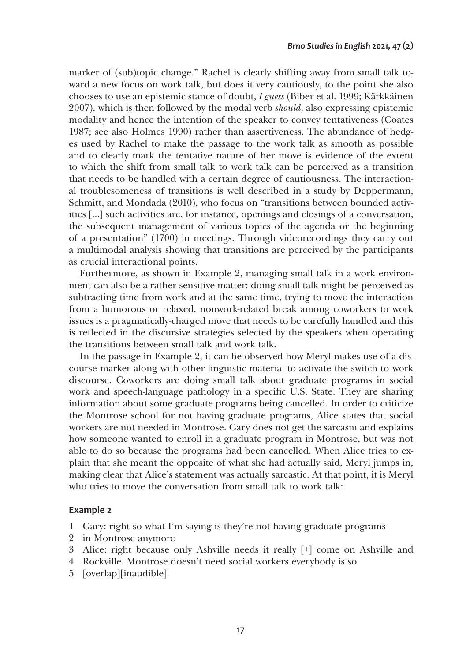marker of (sub)topic change." Rachel is clearly shifting away from small talk toward a new focus on work talk, but does it very cautiously, to the point she also chooses to use an epistemic stance of doubt, *I guess* (Biber et al. 1999; Kärkkäinen 2007), which is then followed by the modal verb *should*, also expressing epistemic modality and hence the intention of the speaker to convey tentativeness (Coates 1987; see also Holmes 1990) rather than assertiveness. The abundance of hedges used by Rachel to make the passage to the work talk as smooth as possible and to clearly mark the tentative nature of her move is evidence of the extent to which the shift from small talk to work talk can be perceived as a transition that needs to be handled with a certain degree of cautiousness. The interactional troublesomeness of transitions is well described in a study by Deppermann, Schmitt, and Mondada (2010), who focus on "transitions between bounded activities […] such activities are, for instance, openings and closings of a conversation, the subsequent management of various topics of the agenda or the beginning of a presentation" (1700) in meetings. Through videorecordings they carry out a multimodal analysis showing that transitions are perceived by the participants as crucial interactional points.

Furthermore, as shown in Example 2, managing small talk in a work environment can also be a rather sensitive matter: doing small talk might be perceived as subtracting time from work and at the same time, trying to move the interaction from a humorous or relaxed, nonwork-related break among coworkers to work issues is a pragmatically-charged move that needs to be carefully handled and this is reflected in the discursive strategies selected by the speakers when operating the transitions between small talk and work talk.

In the passage in Example 2, it can be observed how Meryl makes use of a discourse marker along with other linguistic material to activate the switch to work discourse. Coworkers are doing small talk about graduate programs in social work and speech-language pathology in a specific U.S. State. They are sharing information about some graduate programs being cancelled. In order to criticize the Montrose school for not having graduate programs, Alice states that social workers are not needed in Montrose. Gary does not get the sarcasm and explains how someone wanted to enroll in a graduate program in Montrose, but was not able to do so because the programs had been cancelled. When Alice tries to explain that she meant the opposite of what she had actually said, Meryl jumps in, making clear that Alice's statement was actually sarcastic. At that point, it is Meryl who tries to move the conversation from small talk to work talk:

#### **Example 2**

1 Gary: right so what I'm saying is they're not having graduate programs

- 2 in Montrose anymore
- 3 Alice: right because only Ashville needs it really [+] come on Ashville and
- 4 Rockville. Montrose doesn't need social workers everybody is so
- 5 [overlap][inaudible]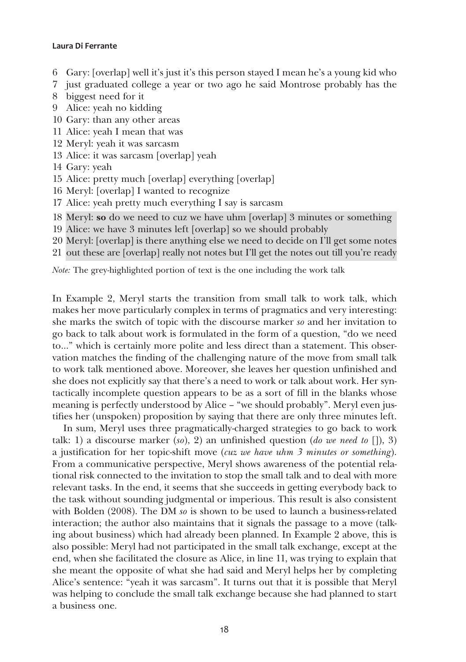- 6 Gary: [overlap] well it's just it's this person stayed I mean he's a young kid who
- 7 just graduated college a year or two ago he said Montrose probably has the
- 8 biggest need for it
- 9 Alice: yeah no kidding
- 10 Gary: than any other areas
- 11 Alice: yeah I mean that was
- 12 Meryl: yeah it was sarcasm
- 13 Alice: it was sarcasm [overlap] yeah
- 14 Gary: yeah
- 15 Alice: pretty much [overlap] everything [overlap]
- 16 Meryl: [overlap] I wanted to recognize
- 17 Alice: yeah pretty much everything I say is sarcasm
- 18 Meryl: so do we need to cuz we have uhm [overlap] 3 minutes or something
- 19 Alice: we have 3 minutes left [overlap] so we should probably
- 20 Meryl: [overlap] is there anything else we need to decide on I'll get some notes
- 21 out these are [overlap] really not notes but I'll get the notes out till you're ready

*Note:* The grey-highlighted portion of text is the one including the work talk

In Example 2, Meryl starts the transition from small talk to work talk, which makes her move particularly complex in terms of pragmatics and very interesting: she marks the switch of topic with the discourse marker *so* and her invitation to go back to talk about work is formulated in the form of a question, "do we need to…" which is certainly more polite and less direct than a statement. This observation matches the finding of the challenging nature of the move from small talk to work talk mentioned above. Moreover, she leaves her question unfinished and she does not explicitly say that there's a need to work or talk about work. Her syntactically incomplete question appears to be as a sort of fill in the blanks whose meaning is perfectly understood by Alice – "we should probably". Meryl even justifies her (unspoken) proposition by saying that there are only three minutes left.

In sum, Meryl uses three pragmatically-charged strategies to go back to work talk: 1) a discourse marker (*so*), 2) an unfinished question (*do we need to* []), 3) a justification for her topic-shift move (*cuz we have uhm 3 minutes or something*). From a communicative perspective, Meryl shows awareness of the potential relational risk connected to the invitation to stop the small talk and to deal with more relevant tasks. In the end, it seems that she succeeds in getting everybody back to the task without sounding judgmental or imperious. This result is also consistent with Bolden (2008). The DM *so* is shown to be used to launch a business-related interaction; the author also maintains that it signals the passage to a move (talking about business) which had already been planned. In Example 2 above, this is also possible: Meryl had not participated in the small talk exchange, except at the end, when she facilitated the closure as Alice, in line 11, was trying to explain that she meant the opposite of what she had said and Meryl helps her by completing Alice's sentence: "yeah it was sarcasm". It turns out that it is possible that Meryl was helping to conclude the small talk exchange because she had planned to start a business one.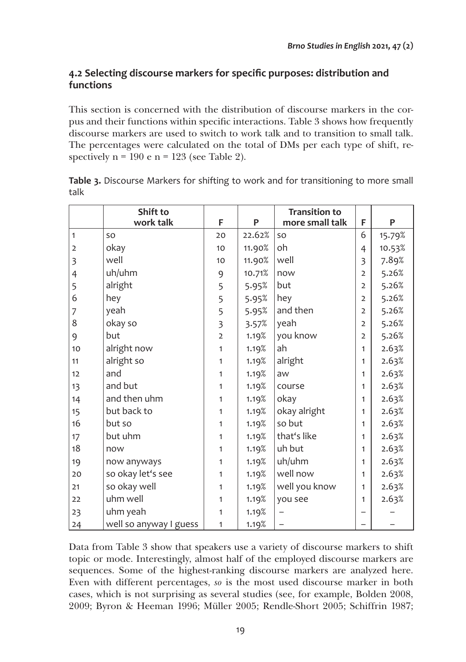# **4.2 Selecting discourse markers for specific purposes: distribution and functions**

This section is concerned with the distribution of discourse markers in the corpus and their functions within specific interactions. Table 3 shows how frequently discourse markers are used to switch to work talk and to transition to small talk. The percentages were calculated on the total of DMs per each type of shift, respectively  $n = 190$  e  $n = 123$  (see Table 2).

|                | Shift to               |                         |        | <b>Transition to</b> |                         |        |
|----------------|------------------------|-------------------------|--------|----------------------|-------------------------|--------|
|                | work talk              | F                       | P      | more small talk      | F                       | P      |
| $\mathbf{1}$   | SO                     | 20                      | 22.62% | SO                   | 6                       | 15.79% |
| $\overline{2}$ | okay                   | 10                      | 11.90% | oh                   | 4                       | 10.53% |
| 3              | well                   | 10                      | 11.90% | well                 | $\overline{\mathbf{3}}$ | 7.89%  |
| $\overline{4}$ | uh/uhm                 | 9                       | 10.71% | now                  | $\overline{2}$          | 5.26%  |
| 5              | alright                | 5                       | 5.95%  | but                  | $\overline{2}$          | 5.26%  |
| 6              | hey                    | 5                       | 5.95%  | hey                  | $\overline{2}$          | 5.26%  |
| 7              | yeah                   | 5                       | 5.95%  | and then             | $\overline{2}$          | 5.26%  |
| 8              | okay so                | $\overline{\mathbf{3}}$ | 3.57%  | yeah                 | $\overline{2}$          | 5.26%  |
| 9              | but                    | $\overline{2}$          | 1.19%  | you know             | $\overline{2}$          | 5.26%  |
| 10             | alright now            | 1                       | 1.19%  | ah                   | 1                       | 2.63%  |
| 11             | alright so             | $\mathbf{1}$            | 1.19%  | alright              | 1                       | 2.63%  |
| 12             | and                    | 1                       | 1.19%  | aw                   | 1                       | 2.63%  |
| 13             | and but                | $\mathbf{1}$            | 1.19%  | course               | 1                       | 2.63%  |
| 14             | and then uhm           | 1                       | 1.19%  | okay                 | $\mathbf{1}$            | 2.63%  |
| 15             | but back to            | $\mathbf{1}$            | 1.19%  | okay alright         | 1                       | 2.63%  |
| 16             | but so                 | 1                       | 1.19%  | so but               | $\mathbf{1}$            | 2.63%  |
| 17             | but uhm                | 1                       | 1.19%  | that's like          | 1                       | 2.63%  |
| 18             | now                    | 1                       | 1.19%  | uh but               | 1                       | 2.63%  |
| 19             | now anyways            | 1                       | 1.19%  | uh/uhm               | 1                       | 2.63%  |
| 20             | so okay let's see      | 1                       | 1.19%  | well now             | 1                       | 2.63%  |
| 21             | so okay well           | 1                       | 1.19%  | well you know        | 1                       | 2.63%  |
| 22             | uhm well               | $\mathbf{1}$            | 1.19%  | you see              | 1                       | 2.63%  |
| 23             | uhm yeah               | 1                       | 1.19%  |                      |                         |        |
| 24             | well so anyway I guess | $\mathbf{1}$            | 1.19%  |                      |                         |        |

**Table 3.** Discourse Markers for shifting to work and for transitioning to more small talk

Data from Table 3 show that speakers use a variety of discourse markers to shift topic or mode. Interestingly, almost half of the employed discourse markers are sequences. Some of the highest-ranking discourse markers are analyzed here. Even with different percentages, *so* is the most used discourse marker in both cases, which is not surprising as several studies (see, for example, Bolden 2008, 2009; Byron & Heeman 1996; Müller 2005; Rendle-Short 2005; Schiffrin 1987;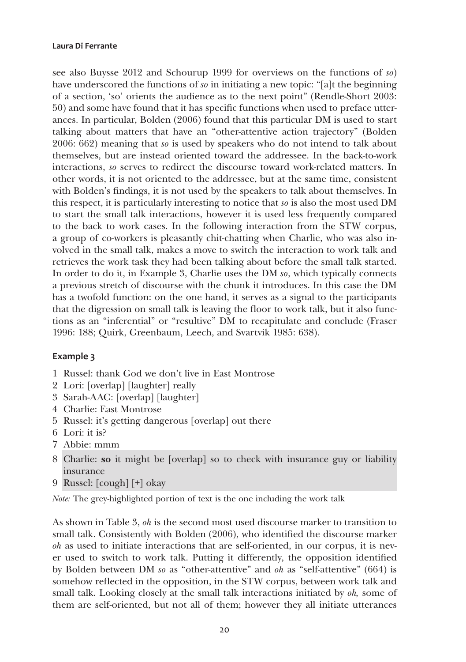see also Buysse 2012 and Schourup 1999 for overviews on the functions of *so*) have underscored the functions of *so* in initiating a new topic: "[a]t the beginning of a section, 'so' orients the audience as to the next point" (Rendle-Short 2003: 50) and some have found that it has specific functions when used to preface utterances. In particular, Bolden (2006) found that this particular DM is used to start talking about matters that have an "other-attentive action trajectory" (Bolden 2006: 662) meaning that *so* is used by speakers who do not intend to talk about themselves, but are instead oriented toward the addressee. In the back-to-work interactions, *so* serves to redirect the discourse toward work-related matters. In other words, it is not oriented to the addressee, but at the same time, consistent with Bolden's findings, it is not used by the speakers to talk about themselves. In this respect, it is particularly interesting to notice that *so* is also the most used DM to start the small talk interactions, however it is used less frequently compared to the back to work cases. In the following interaction from the STW corpus, a group of co-workers is pleasantly chit-chatting when Charlie, who was also involved in the small talk, makes a move to switch the interaction to work talk and retrieves the work task they had been talking about before the small talk started. In order to do it, in Example 3, Charlie uses the DM *so*, which typically connects a previous stretch of discourse with the chunk it introduces. In this case the DM has a twofold function: on the one hand, it serves as a signal to the participants that the digression on small talk is leaving the floor to work talk, but it also functions as an "inferential" or "resultive" DM to recapitulate and conclude (Fraser 1996: 188; Quirk, Greenbaum, Leech, and Svartvik 1985: 638).

#### **Example 3**

- 1 Russel: thank God we don't live in East Montrose
- 2 Lori: [overlap] [laughter] really
- 3 Sarah-AAC: [overlap] [laughter]
- 4 Charlie: East Montrose
- 5 Russel: it's getting dangerous [overlap] out there
- 6 Lori: it is?
- 7 Abbie: mmm
- 8 Charlie: so it might be [overlap] so to check with insurance guy or liability insurance
- 9 Russel: [cough] [+] okay

*Note:* The grey-highlighted portion of text is the one including the work talk

As shown in Table 3, *oh* is the second most used discourse marker to transition to small talk. Consistently with Bolden (2006), who identified the discourse marker *oh* as used to initiate interactions that are self-oriented, in our corpus, it is never used to switch to work talk. Putting it differently, the opposition identified by Bolden between DM *so* as "other-attentive" and *oh* as "self-attentive" (664) is somehow reflected in the opposition, in the STW corpus, between work talk and small talk. Looking closely at the small talk interactions initiated by *oh,* some of them are self-oriented, but not all of them; however they all initiate utterances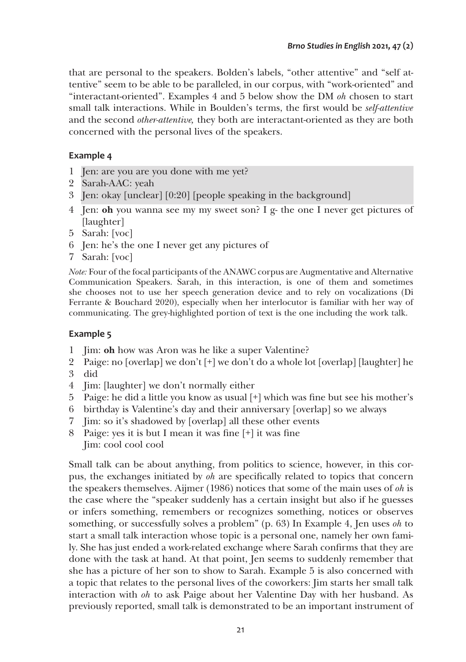that are personal to the speakers. Bolden's labels, "other attentive" and "self attentive" seem to be able to be paralleled, in our corpus, with "work-oriented" and "interactant-oriented". Examples 4 and 5 below show the DM *oh* chosen to start small talk interactions. While in Boulden's terms, the first would be *self-attentive* and the second *other-attentive,* they both are interactant-oriented as they are both concerned with the personal lives of the speakers.

# **Example 4**

- 1 Jen: are you are you done with me yet?
- 2 Sarah-AAC: yeah
- 3 Jen: okay [unclear] [0:20] [people speaking in the background]
- 4 Jen: oh you wanna see my my sweet son? I g- the one I never get pictures of [laughter]
- 5 Sarah: [voc]
- 6 Jen: he's the one I never get any pictures of
- 7 Sarah: [voc]

*Note:* Four of the focal participants of the ANAWC corpus are Augmentative and Alternative Communication Speakers. Sarah, in this interaction, is one of them and sometimes she chooses not to use her speech generation device and to rely on vocalizations (Di Ferrante & Bouchard 2020), especially when her interlocutor is familiar with her way of communicating. The grey-highlighted portion of text is the one including the work talk.

# **Example 5**

- 1 Jim: oh how was Aron was he like a super Valentine?
- 2 Paige: no [overlap] we don't [+] we don't do a whole lot [overlap] [laughter] he
- 3 did
- 4 Jim: [laughter] we don't normally either
- 5 Paige: he did a little you know as usual [+] which was fine but see his mother's
- 6 birthday is Valentine's day and their anniversary [overlap] so we always
- 7 Jim: so it's shadowed by [overlap] all these other events
- 8 Paige: yes it is but I mean it was fine [+] it was fine Jim: cool cool cool

Small talk can be about anything, from politics to science, however, in this corpus, the exchanges initiated by *oh* are specifically related to topics that concern the speakers themselves. Aijmer (1986) notices that some of the main uses of *oh* is the case where the "speaker suddenly has a certain insight but also if he guesses or infers something, remembers or recognizes something, notices or observes something, or successfully solves a problem" (p. 63) In Example 4, Jen uses *oh* to start a small talk interaction whose topic is a personal one, namely her own family. She has just ended a work-related exchange where Sarah confirms that they are done with the task at hand. At that point, Jen seems to suddenly remember that she has a picture of her son to show to Sarah. Example 5 is also concerned with a topic that relates to the personal lives of the coworkers: Jim starts her small talk interaction with *oh* to ask Paige about her Valentine Day with her husband. As previously reported, small talk is demonstrated to be an important instrument of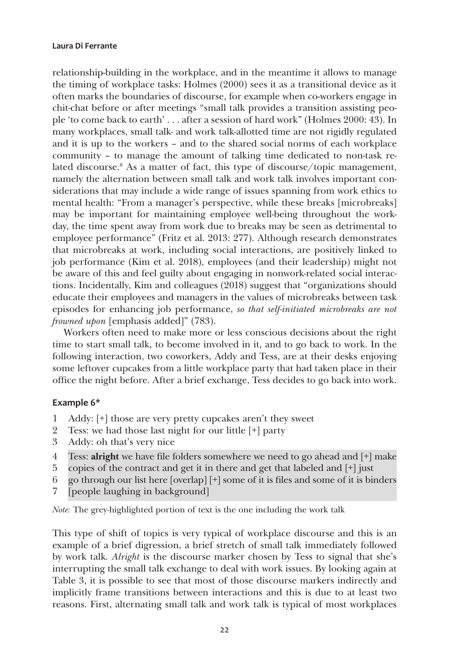relationship-building in the workplace, and in the meantime it allows to manage the timing of workplace tasks: Holmes (2000) sees it as a transitional device as it often marks the boundaries of discourse, for example when co-workers engage in chit-chat before or after meetings "small talk provides a transition assisting people 'to come back to earth' . . . after a session of hard work" (Holmes 2000: 43). In many workplaces, small talk- and work talk-allotted time are not rigidly regulated and it is up to the workers – and to the shared social norms of each workplace community – to manage the amount of talking time dedicated to non-task related discourse.<sup>8</sup> As a matter of fact, this type of discourse/topic management, namely the alternation between small talk and work talk involves important considerations that may include a wide range of issues spanning from work ethics to mental health: "From a manager's perspective, while these breaks [microbreaks] may be important for maintaining employee well-being throughout the workday, the time spent away from work due to breaks may be seen as detrimental to employee performance" (Fritz et al. 2013: 277). Although research demonstrates that microbreaks at work, including social interactions, are positively linked to job performance (Kim et al. 2018), employees (and their leadership) might not be aware of this and feel guilty about engaging in nonwork-related social interactions. Incidentally, Kim and colleagues (2018) suggest that "organizations should educate their employees and managers in the values of microbreaks between task episodes for enhancing job performance, *so that self-initiated microbreaks are not frowned upon* [emphasis added]" (783).

Workers often need to make more or less conscious decisions about the right time to start small talk, to become involved in it, and to go back to work. In the following interaction, two coworkers, Addy and Tess, are at their desks enjoying some leftover cupcakes from a little workplace party that had taken place in their office the night before. After a brief exchange, Tess decides to go back into work.

#### **Example 6\***

- 1 Addy: [+] those are very pretty cupcakes aren't they sweet
- 2 Tess: we had those last night for our little [+] party
- 3 Addy: oh that's very nice
- 4 Tess: alright we have file folders somewhere we need to go ahead and [+] make
- 5 copies of the contract and get it in there and get that labeled and [+] just
- 6 go through our list here [overlap] [+] some of it is files and some of it is binders
- 7 [people laughing in background]

*Note:* The grey-highlighted portion of text is the one including the work talk

This type of shift of topics is very typical of workplace discourse and this is an example of a brief digression, a brief stretch of small talk immediately followed by work talk*. Alright* is the discourse marker chosen by Tess to signal that she's interrupting the small talk exchange to deal with work issues. By looking again at Table 3, it is possible to see that most of those discourse markers indirectly and implicitly frame transitions between interactions and this is due to at least two reasons. First, alternating small talk and work talk is typical of most workplaces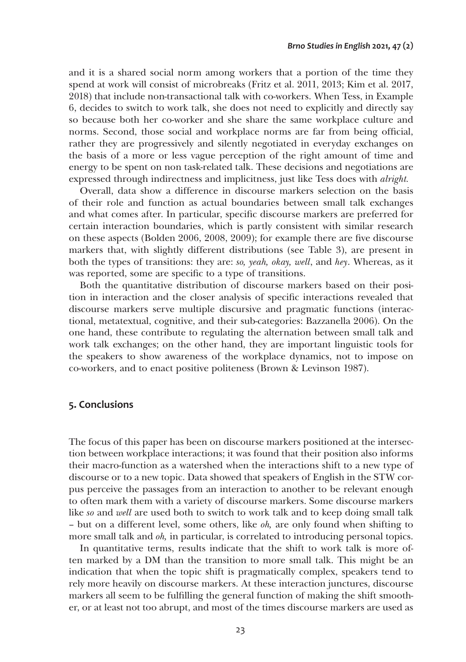and it is a shared social norm among workers that a portion of the time they spend at work will consist of microbreaks (Fritz et al. 2011, 2013; Kim et al. 2017, 2018) that include non-transactional talk with co-workers. When Tess, in Example 6, decides to switch to work talk, she does not need to explicitly and directly say so because both her co-worker and she share the same workplace culture and norms. Second, those social and workplace norms are far from being official, rather they are progressively and silently negotiated in everyday exchanges on the basis of a more or less vague perception of the right amount of time and energy to be spent on non task-related talk. These decisions and negotiations are expressed through indirectness and implicitness, just like Tess does with *alright.* 

Overall, data show a difference in discourse markers selection on the basis of their role and function as actual boundaries between small talk exchanges and what comes after. In particular, specific discourse markers are preferred for certain interaction boundaries, which is partly consistent with similar research on these aspects (Bolden 2006, 2008, 2009); for example there are five discourse markers that, with slightly different distributions (see Table 3), are present in both the types of transitions: they are: *so, yeah, okay, well*, and *hey*. Whereas, as it was reported, some are specific to a type of transitions.

Both the quantitative distribution of discourse markers based on their position in interaction and the closer analysis of specific interactions revealed that discourse markers serve multiple discursive and pragmatic functions (interactional, metatextual, cognitive, and their sub-categories: Bazzanella 2006). On the one hand, these contribute to regulating the alternation between small talk and work talk exchanges; on the other hand, they are important linguistic tools for the speakers to show awareness of the workplace dynamics, not to impose on co-workers, and to enact positive politeness (Brown & Levinson 1987).

#### **5. Conclusions**

The focus of this paper has been on discourse markers positioned at the intersection between workplace interactions; it was found that their position also informs their macro-function as a watershed when the interactions shift to a new type of discourse or to a new topic. Data showed that speakers of English in the STW corpus perceive the passages from an interaction to another to be relevant enough to often mark them with a variety of discourse markers. Some discourse markers like *so* and *well* are used both to switch to work talk and to keep doing small talk – but on a different level, some others, like *oh,* are only found when shifting to more small talk and *oh,* in particular, is correlated to introducing personal topics.

In quantitative terms, results indicate that the shift to work talk is more often marked by a DM than the transition to more small talk. This might be an indication that when the topic shift is pragmatically complex, speakers tend to rely more heavily on discourse markers. At these interaction junctures, discourse markers all seem to be fulfilling the general function of making the shift smoother, or at least not too abrupt, and most of the times discourse markers are used as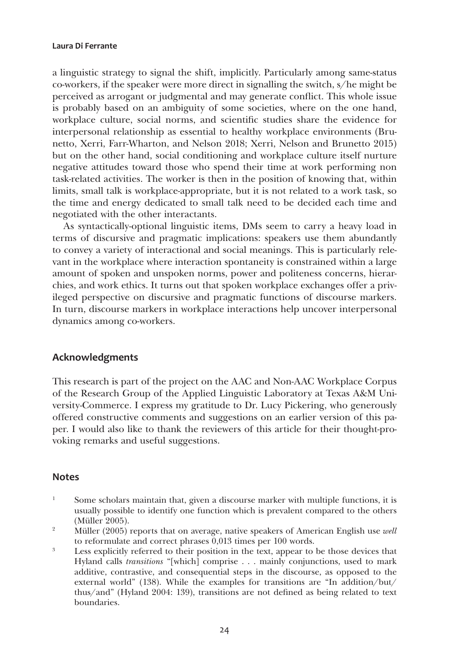a linguistic strategy to signal the shift, implicitly. Particularly among same-status co-workers, if the speaker were more direct in signalling the switch, s/he might be perceived as arrogant or judgmental and may generate conflict. This whole issue is probably based on an ambiguity of some societies, where on the one hand, workplace culture, social norms, and scientific studies share the evidence for interpersonal relationship as essential to healthy workplace environments (Brunetto, Xerri, Farr-Wharton, and Nelson 2018; Xerri, Nelson and Brunetto 2015) but on the other hand, social conditioning and workplace culture itself nurture negative attitudes toward those who spend their time at work performing non task-related activities. The worker is then in the position of knowing that, within limits, small talk is workplace-appropriate, but it is not related to a work task, so the time and energy dedicated to small talk need to be decided each time and negotiated with the other interactants.

As syntactically-optional linguistic items, DMs seem to carry a heavy load in terms of discursive and pragmatic implications: speakers use them abundantly to convey a variety of interactional and social meanings. This is particularly relevant in the workplace where interaction spontaneity is constrained within a large amount of spoken and unspoken norms, power and politeness concerns, hierarchies, and work ethics. It turns out that spoken workplace exchanges offer a privileged perspective on discursive and pragmatic functions of discourse markers. In turn, discourse markers in workplace interactions help uncover interpersonal dynamics among co-workers.

#### **Acknowledgments**

This research is part of the project on the AAC and Non-AAC Workplace Corpus of the Research Group of the Applied Linguistic Laboratory at Texas A&M University-Commerce. I express my gratitude to Dr. Lucy Pickering, who generously offered constructive comments and suggestions on an earlier version of this paper. I would also like to thank the reviewers of this article for their thought-provoking remarks and useful suggestions.

#### **Notes**

- $1$  Some scholars maintain that, given a discourse marker with multiple functions, it is usually possible to identify one function which is prevalent compared to the others (Müller 2005).
- <sup>2</sup> Müller (2005) reports that on average, native speakers of American English use *well* to reformulate and correct phrases 0,013 times per 100 words.
- <sup>3</sup> Less explicitly referred to their position in the text, appear to be those devices that Hyland calls *transitions* "[which] comprise . . . mainly conjunctions, used to mark additive, contrastive, and consequential steps in the discourse, as opposed to the external world" (138). While the examples for transitions are "In addition/but/ thus/and" (Hyland 2004: 139), transitions are not defined as being related to text boundaries.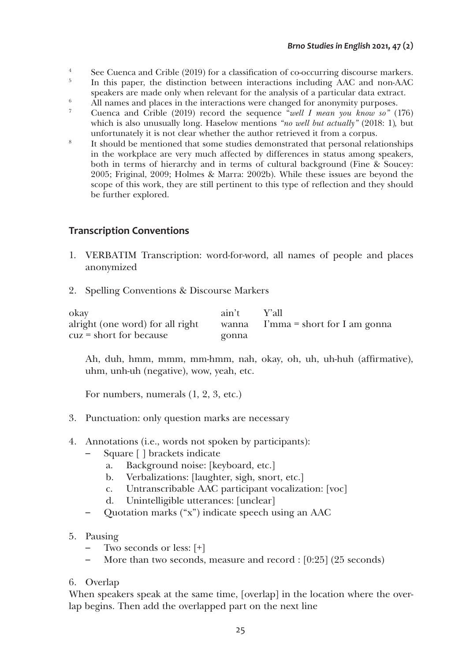- <sup>4</sup> See Cuenca and Crible (2019) for a classification of co-occurring discourse markers.
- <sup>5</sup> In this paper, the distinction between interactions including AAC and non-AAC speakers are made only when relevant for the analysis of a particular data extract.<br>All names and places in the interactions were changed for anonymity purposes.
- <sup>6</sup> All names and places in the interactions were changed for anonymity purposes. 7 Cuenca and Crible (2019) record the sequence "*well I mean you know so"* (176)
- which is also unusually long. Haselow mentions "no well but actually" (2018: 1), but unfortunately it is not clear whether the author retrieved it from a corpus.
- <sup>8</sup> It should be mentioned that some studies demonstrated that personal relationships in the workplace are very much affected by differences in status among speakers, both in terms of hierarchy and in terms of cultural background (Fine & Soucey: 2005; Friginal, 2009; Holmes & Marra: 2002b). While these issues are beyond the scope of this work, they are still pertinent to this type of reflection and they should be further explored.

# **Transcription Conventions**

- 1. VERBATIM Transcription: word-for-word, all names of people and places anonymized
- 2. Spelling Conventions & Discourse Markers

| okay                             | ain't | – Y'all                                   |
|----------------------------------|-------|-------------------------------------------|
| alright (one word) for all right |       | wanna $\Gamma$ mma = short for I am gonna |
| $cuz = short for because$        | gonna |                                           |

Ah, duh, hmm, mmm, mm-hmm, nah, okay, oh, uh, uh-huh (affirmative), uhm, unh-uh (negative), wow, yeah, etc.

For numbers, numerals (1, 2, 3, etc.)

- 3. Punctuation: only question marks are necessary
- 4. Annotations (i.e., words not spoken by participants):
	- Square [ ] brackets indicate
		- a. Background noise: [keyboard, etc.]
		- b. Verbalizations: [laughter, sigh, snort, etc.]
		- c. Untranscribable AAC participant vocalization: [voc]
		- d. Unintelligible utterances: [unclear]
	- Quotation marks ("x") indicate speech using an AAC
- 5. Pausing
	- Two seconds or less:  $[+]$
	- More than two seconds, measure and record : [0:25] (25 seconds)
- 6. Overlap

When speakers speak at the same time, [overlap] in the location where the overlap begins. Then add the overlapped part on the next line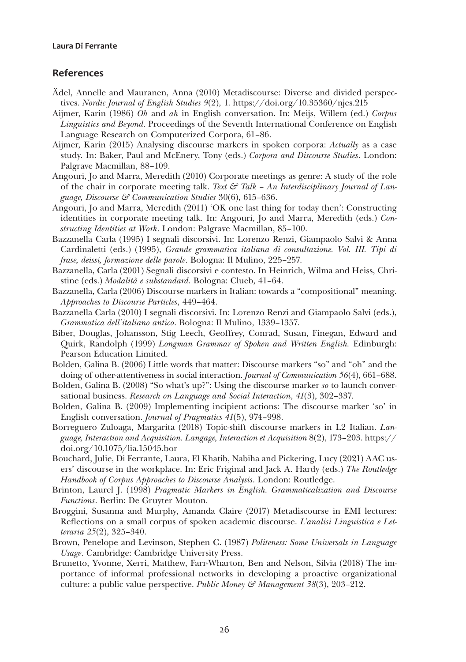#### **References**

- Ädel, Annelle and Mauranen, Anna (2010) Metadiscourse: Diverse and divided perspectives. *Nordic Journal of English Studies 9*(2), 1. <https://doi.org/10.35360/njes.215>
- Aijmer, Karin (1986) *Oh* and *ah* in English conversation. In: Meijs, Willem (ed.) *Corpus Linguistics and Beyond*. Proceedings of the Seventh International Conference on English Language Research on Computerized Corpora, 61–86.
- Aijmer, Karin (2015) Analysing discourse markers in spoken corpora: *Actually* as a case study. In: Baker, Paul and McEnery, Tony (eds.) *Corpora and Discourse Studies*. London: Palgrave Macmillan, 88–109.
- Angouri, Jo and Marra, Meredith (2010) Corporate meetings as genre: A study of the role of the chair in corporate meeting talk. *Text & Talk* – *An Interdisciplinary Journal of Language, Discourse & Communication Studies* 30(6), 615–636.
- Angouri, Jo and Marra, Meredith (2011) 'OK one last thing for today then': Constructing identities in corporate meeting talk. In: Angouri, Jo and Marra, Meredith (eds.) *Constructing Identities at Work*. London: Palgrave Macmillan, 85–100.
- Bazzanella Carla (1995) I segnali discorsivi. In: Lorenzo Renzi, Giampaolo Salvi & Anna Cardinaletti (eds.) (1995), *Grande grammatica italiana di consultazione. Vol. III. Tipi di frase, deissi, formazione delle parole*. Bologna: Il Mulino, 225–257.
- Bazzanella, Carla (2001) Segnali discorsivi e contesto. In Heinrich, Wilma and Heiss, Christine (eds.) *Modalità e substandard*. Bologna: Clueb, 41–64.
- Bazzanella, Carla (2006) Discourse markers in Italian: towards a "compositional" meaning. *Approaches to Discourse Particles*, 449–464.
- Bazzanella Carla (2010) I segnali discorsivi. In: Lorenzo Renzi and Giampaolo Salvi (eds.), *Grammatica dell'italiano antico*. Bologna: Il Mulino, 1339–1357.
- Biber, Douglas, Johansson, Stig Leech, Geoffrey, Conrad, Susan, Finegan, Edward and Quirk, Randolph (1999) *Longman Grammar of Spoken and Written English.* Edinburgh: Pearson Education Limited.
- Bolden, Galina B. (2006) Little words that matter: Discourse markers "so" and "oh" and the doing of other-attentiveness in social interaction. *Journal of Communication 56*(4), 661–688.
- Bolden, Galina B. (2008) "So what's up?": Using the discourse marker *so* to launch conversational business. *Research on Language and Social Interaction*, *41*(3), 302–337.
- Bolden, Galina B. (2009) Implementing incipient actions: The discourse marker 'so' in English conversation. *Journal of Pragmatics 41*(5), 974–998.
- Borreguero Zuloaga, Margarita (2018) Topic-shift discourse markers in L2 Italian. *Language, Interaction and Acquisition. Langage, Interaction et Acquisition* 8(2), 173–203. [https://](https://doi.org/10.1075/lia.15045.bor) [doi.org/10.1075/lia.15045.bor](https://doi.org/10.1075/lia.15045.bor)
- Bouchard, Julie, Di Ferrante, Laura, El Khatib, Nabiha and Pickering, Lucy (2021) AAC users' discourse in the workplace. In: Eric Friginal and Jack A. Hardy (eds.) *The Routledge Handbook of Corpus Approaches to Discourse Analysis*. London: Routledge.
- Brinton, Laurel J. (1998) *Pragmatic Markers in English. Grammaticalization and Discourse Functions*. Berlin: De Gruyter Mouton.
- Broggini, Susanna and Murphy, Amanda Claire (2017) Metadiscourse in EMI lectures: Reflections on a small corpus of spoken academic discourse. *L'analisi Linguistica e Letteraria 25*(2), 325–340.
- Brown, Penelope and Levinson, Stephen C. (1987) *Politeness: Some Universals in Language Usage*. Cambridge: Cambridge University Press.
- Brunetto, Yvonne, Xerri, Matthew, Farr-Wharton, Ben and Nelson, Silvia (2018) The importance of informal professional networks in developing a proactive organizational culture: a public value perspective. *Public Money & Management 38*(3), 203–212.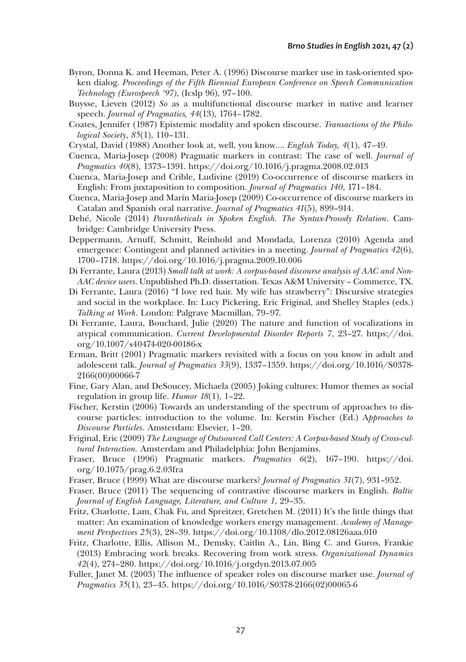- Byron, Donna K. and Heeman, Peter A. (1996) Discourse marker use in task-oriented spoken dialog. *Proceedings of the Fifth Biennial European Conference on Speech Communication Technology (Eurospeech '97)*, (Icslp 96), 97–100.
- Buysse, Lieven (2012) *So* as a multifunctional discourse marker in native and learner speech. *Journal of Pragmatics, 44*(13), 1764–1782.
- Coates, Jennifer (1987) Epistemic modality and spoken discourse. *Transactions of the Philological Society*, *85*(1), 110–131.
- Crystal, David (1988) Another look at, well, you know…. *English Today, 4*(1), 47–49.
- Cuenca, Maria-Josep (2008) Pragmatic markers in contrast: The case of well. *Journal of Pragmatics 40*(8), 1373–1391. <https://doi.org/10.1016/j.pragma.2008.02.013>
- Cuenca, Maria-Josep and Crible, Ludivine (2019) Co-occurrence of discourse markers in English: From juxtaposition to composition. *Journal of Pragmatics 140*, 171–184.
- Cuenca, Maria-Josep and Marín Maria-Josep (2009) Co-occurrence of discourse markers in Catalan and Spanish oral narrative. *Journal of Pragmatics 41*(5), 899–914.
- Dehé, Nicole (2014) *Parentheticals in Spoken English. The Syntax-Prosody Relation*. Cambridge: Cambridge University Press.
- Deppermann, Arnuff, Schmitt, Reinhold and Mondada, Lorenza (2010) Agenda and emergence: Contingent and planned activities in a meeting. *Journal of Pragmatics 42*(6), 1700–1718. <https://doi.org/10.1016/j.pragma.2009.10.006>
- Di Ferrante, Laura (2013) *Small talk at work: A corpus-based discourse analysis of AAC and Non-AAC device users*. Unpublished Ph.D. dissertation. Texas A&M University – Commerce, TX.
- Di Ferrante, Laura (2016) "I love red hair. My wife has strawberry": Discursive strategies and social in the workplace. In: Lucy Pickering, Eric Friginal, and Shelley Staples (eds.) *Talking at Work*. London: Palgrave Macmillan, 79–97.
- Di Ferrante, Laura, Bouchard, Julie (2020) The nature and function of vocalizations in atypical communication. *Current Developmental Disorder Reports 7*, 23–27. [https://doi.](https://doi.org/10.1007/s40474-020-00186-x) [org/10.1007/s40474-020-00186-x](https://doi.org/10.1007/s40474-020-00186-x)
- Erman, Britt (2001) Pragmatic markers revisited with a focus on you know in adult and adolescent talk. *Journal of Pragmatics 33*(9), 1337–1359. [https://doi.org/10.1016/S0378-](https://doi.org/10.1016/S0378-2166(00)00066-7) [2166\(00\)00066-7](https://doi.org/10.1016/S0378-2166(00)00066-7)
- Fine, Gary Alan, and DeSoucey, Michaela (2005) Joking cultures: Humor themes as social regulation in group life. *Humor 18*(1), 1–22.
- Fischer, Kerstin (2006) Towards an understanding of the spectrum of approaches to discourse particles: introduction to the volume. In: Kerstin Fischer (Ed.) A*pproaches to Discourse Particles*. Amsterdam: Elsevier, 1–20.
- Friginal, Eric (2009) *The Language of Outsourced Call Centers: A Corpus-based Study of Cross-cultural Interaction.* Amsterdam and Philadelphia: John Benjamins.
- Fraser, Bruce (1996) Pragmatic markers. *Pragmatics 6*(2), 167–190. [https://doi.](https://doi.org/10.1075/prag.6.2.03fra) [org/10.1075/prag.6.2.03fra](https://doi.org/10.1075/prag.6.2.03fra)
- Fraser, Bruce (1999) What are discourse markers? *Journal of Pragmatics 31*(7), 931–952.
- Fraser, Bruce (2011) The sequencing of contrastive discourse markers in English. *Baltic Journal of English Language, Literature, and Culture 1*, 29–35.
- Fritz, Charlotte, Lam, Chak Fu, and Spreitzer, Gretchen M. (2011) It's the little things that matter: An examination of knowledge workers energy management. *Academy of Management Perspectives 25*(3), 28–39. <https://doi.org/10.1108/dlo.2012.08126aaa.010>
- Fritz, Charlotte, Ellis, Allison M., Demsky, Caitlin A., Lin, Bing C. and Guros, Frankie (2013) Embracing work breaks. Recovering from work stress. *Organizational Dynamics 42*(4), 274–280. <https://doi.org/10.1016/j.orgdyn.2013.07.005>
- Fuller, Janet M. (2003) The influence of speaker roles on discourse marker use. *Journal of Pragmatics 35*(1), 23–45. [https://doi.org/10.1016/S0378-2166\(02\)00065-6](https://doi.org/10.1016/S0378-2166(02)00065-6)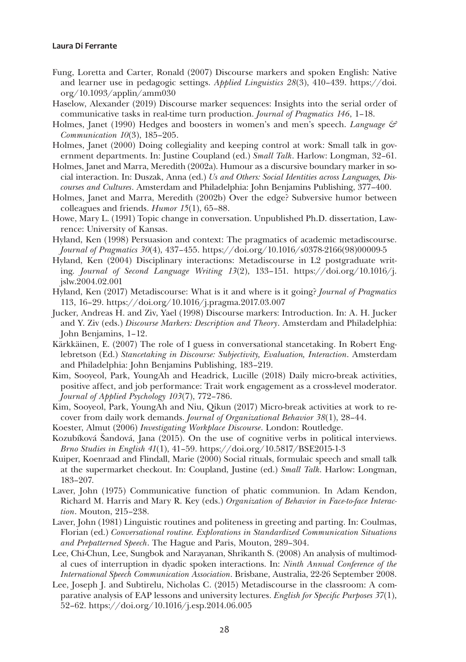- Fung, Loretta and Carter, Ronald (2007) Discourse markers and spoken English: Native and learner use in pedagogic settings. *Applied Linguistics 28*(3), 410–439. [https://doi.](https://doi.org/10.1093/applin/amm030) [org/10.1093/applin/amm030](https://doi.org/10.1093/applin/amm030)
- Haselow, Alexander (2019) Discourse marker sequences: Insights into the serial order of communicative tasks in real-time turn production. *Journal of Pragmatics 146*, 1–18.
- Holmes, Janet (1990) Hedges and boosters in women's and men's speech. *Language & Communication 10*(3), 185–205.
- Holmes, Janet (2000) Doing collegiality and keeping control at work: Small talk in government departments. In: Justine Coupland (ed.) *Small Talk*. Harlow: Longman, 32–61.
- Holmes, Janet and Marra, Meredith (2002a). Humour as a discursive boundary marker in social interaction. In: Duszak, Anna (ed.) *Us and Others: Social Identities across Languages, Discourses and Cultures*. Amsterdam and Philadelphia: John Benjamins Publishing, 377–400.
- Holmes, Janet and Marra, Meredith (2002b) Over the edge? Subversive humor between colleagues and friends. *Humor 15*(1), 65–88.
- Howe, Mary L. (1991) Topic change in conversation. Unpublished Ph.D. dissertation, Lawrence: University of Kansas.
- Hyland, Ken (1998) Persuasion and context: The pragmatics of academic metadiscourse. *Journal of Pragmatics 30*(4), 437–455. [https://doi.org/10.1016/s0378-2166\(98\)00009-5](https://doi.org/10.1016/s0378-2166(98)00009-5)
- Hyland, Ken (2004) Disciplinary interactions: Metadiscourse in L2 postgraduate writing*. Journal of Second Language Writing 13*(2), 133–151. [https://doi.org/10.1016/j.](https://doi.org/10.1016/j.jslw.2004.02.001) [jslw.2004.02.001](https://doi.org/10.1016/j.jslw.2004.02.001)
- Hyland, Ken (2017) Metadiscourse: What is it and where is it going? *Journal of Pragmatics* 113, 16–29. <https://doi.org/10.1016/j.pragma.2017.03.007>
- Jucker, Andreas H. and Ziv, Yael (1998) Discourse markers: Introduction. In: A. H. Jucker and Y. Ziv (eds.) *Discourse Markers: Description and Theory*. Amsterdam and Philadelphia: John Benjamins, 1–12.
- Kärkkäinen, E. (2007) The role of I guess in conversational stancetaking. In Robert Englebretson (Ed.) *Stancetaking in Discourse: Subjectivity, Evaluation, Interaction*. Amsterdam and Philadelphia: John Benjamins Publishing, 183–219.
- Kim, Sooyeol, Park, YoungAh and Headrick, Lucille (2018) Daily micro-break activities, positive affect, and job performance: Trait work engagement as a cross-level moderator. *Journal of Applied Psychology 103*(7), 772–786.
- Kim, Sooyeol, Park, YoungAh and Niu, Qikun (2017) Micro-break activities at work to recover from daily work demands. *Journal of Organizational Behavior 38*(1), 28–44.
- Koester, Almut (2006) *Investigating Workplace Discourse*. London: Routledge.
- Kozubíková Šandová, Jana (2015). On the use of cognitive verbs in political interviews. *Brno Studies in English 41*(1), 41–59. <https://doi.org/10.5817/BSE2015-1-3>
- Kuiper, Koenraad and Flindall, Marie (2000) Social rituals, formulaic speech and small talk at the supermarket checkout. In: Coupland, Justine (ed.) *Small Talk*. Harlow: Longman, 183–207.
- Laver, John (1975) Communicative function of phatic communion. In Adam Kendon, Richard M. Harris and Mary R. Key (eds.) *Organization of Behavior in Face-to-face Interaction*. Mouton, 215–238.
- Laver, John (1981) Linguistic routines and politeness in greeting and parting. In: Coulmas, Florian (ed.) *Conversational routine. Explorations in Standardized Communication Situations and Prepatterned Speech*. The Hague and Paris, Mouton, 289–304.
- Lee, Chi-Chun, Lee, Sungbok and Narayanan, Shrikanth S. (2008) An analysis of multimodal cues of interruption in dyadic spoken interactions. In: *Ninth Annual Conference of the International Speech Communication Association*. Brisbane, Australia, 22-26 September 2008.
- Lee, Joseph J. and Subtirelu, Nicholas C. (2015) Metadiscourse in the classroom: A comparative analysis of EAP lessons and university lectures. *English for Specific Purposes 37*(1), 52–62.<https://doi.org/10.1016/j.esp.2014.06.005>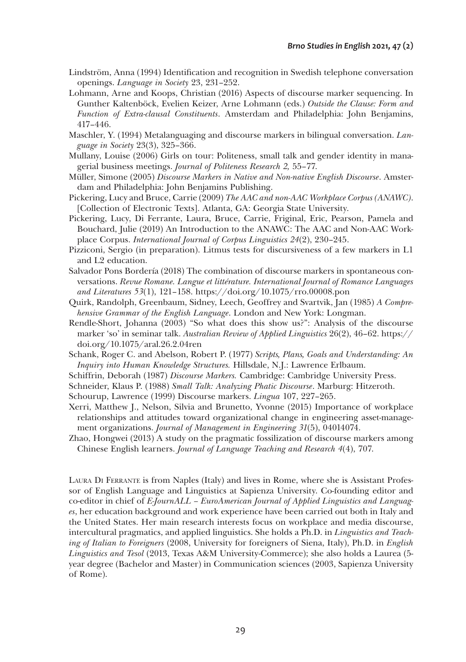- Lindström, Anna (1994) Identification and recognition in Swedish telephone conversation openings. *Language in Society* 23, 231–252.
- Lohmann, Arne and Koops, Christian (2016) Aspects of discourse marker sequencing. In Gunther Kaltenböck, Evelien Keizer, Arne Lohmann (eds.) *Outside the Clause: Form and Function of Extra-clausal Constituents*. Amsterdam and Philadelphia: John Benjamins, 417–446.
- Maschler, Y. (1994) Metalanguaging and discourse markers in bilingual conversation. *Language in Society* 23(3), 325–366.
- Mullany, Louise (2006) Girls on tour: Politeness, small talk and gender identity in managerial business meetings. *Journal of Politeness Research 2,* 55–77.
- Müller, Simone (2005) *Discourse Markers in Native and Non-native English Discourse*. Amsterdam and Philadelphia: John Benjamins Publishing.
- Pickering, Lucy and Bruce, Carrie (2009) *The AAC and non-AAC Workplace Corpus (ANAWC)*. [Collection of Electronic Texts]. Atlanta, GA: Georgia State University.
- Pickering, Lucy, Di Ferrante, Laura, Bruce, Carrie, Friginal, Eric, Pearson, Pamela and Bouchard, Julie (2019) An Introduction to the ANAWC: The AAC and Non-AAC Workplace Corpus. *International Journal of Corpus Linguistics 24*(2), 230–245.
- Pizziconi, Sergio (in preparation). Litmus tests for discursiveness of a few markers in L1 and L2 education.
- Salvador Pons Bordería (2018) The combination of discourse markers in spontaneous conversations. *Revue Romane. Langue et littérature. International Journal of Romance Languages and Literatures 53*(1), 121–158.<https://doi.org/10.1075/rro.00008.pon>
- Quirk, Randolph, Greenbaum, Sidney, Leech, Geoffrey and Svartvik, Jan (1985) *A Comprehensive Grammar of the English Language*. London and New York: Longman.
- Rendle-Short, Johanna (2003) "So what does this show us?": Analysis of the discourse marker 'so' in seminar talk. *Australian Review of Applied Linguistics* 26(2), 46–62. [https://](https://doi.org/10.1075/aral.26.2.04ren) [doi.org/10.1075/aral.26.2.04ren](https://doi.org/10.1075/aral.26.2.04ren)
- Schank, Roger C. and Abelson, Robert P. (1977) *Scripts, Plans, Goals and Understanding: An Inquiry into Human Knowledge Structures.* Hillsdale, N.J.: Lawrence Erlbaum.
- Schiffrin, Deborah (1987) *Discourse Markers.* Cambridge: Cambridge University Press.
- Schneider, Klaus P. (1988) *Small Talk: Analyzing Phatic Discourse*. Marburg: Hitzeroth.
- Schourup, Lawrence (1999) Discourse markers. *Lingua* 107, 227–265.
- Xerri, Matthew J., Nelson, Silvia and Brunetto, Yvonne (2015) Importance of workplace relationships and attitudes toward organizational change in engineering asset-management organizations. *Journal of Management in Engineering 31*(5), 04014074.
- Zhao, Hongwei (2013) A study on the pragmatic fossilization of discourse markers among Chinese English learners. *Journal of Language Teaching and Research 4*(4), 707.

Laura Di Ferrante is from Naples (Italy) and lives in Rome, where she is Assistant Professor of English Language and Linguistics at Sapienza University. Co-founding editor and co-editor in chief of *E-JournALL – EuroAmerican Journal of Applied Linguistics and Languages*, her education background and work experience have been carried out both in Italy and the United States. Her main research interests focus on workplace and media discourse, intercultural pragmatics, and applied linguistics. She holds a Ph.D. in *Linguistics and Teaching of Italian to Foreigners* (2008, University for foreigners of Siena, Italy), Ph.D. in *English Linguistics and Tesol* (2013, Texas A&M University-Commerce); she also holds a Laurea (5 year degree (Bachelor and Master) in Communication sciences (2003, Sapienza University of Rome).